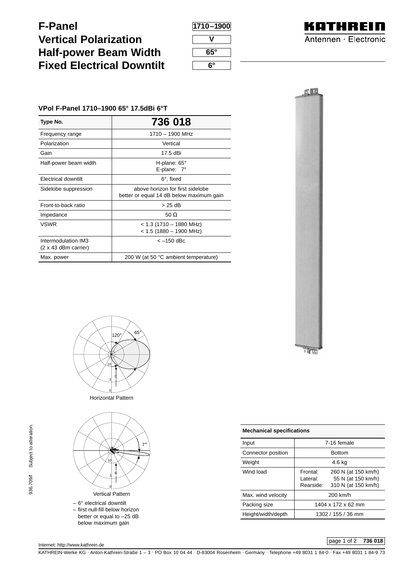**F-Panel Vertical Polarization Half-power Beam Width Fixed Electrical Downtilt**

| 1710-1900 |
|-----------|
|           |
| 65°       |
| 6°        |



## **VPol F-Panel 1710–1900 65° 17.5dBi 6°T**

| Type No.                                           | 736 018                                                                      |
|----------------------------------------------------|------------------------------------------------------------------------------|
| Frequency range                                    | 1710 - 1900 MHz                                                              |
| Polarization                                       | Vertical                                                                     |
| Gain                                               | 17.5 dBi                                                                     |
| Half-power beam width                              | H-plane: $65^\circ$<br>E-plane: $7^\circ$                                    |
| Electrical downtilt                                | 6°, fixed                                                                    |
| Sidelobe suppression                               | above horizon for first sidelobe<br>better or equal 14 dB below maximum gain |
| Front-to-back ratio                                | >25dB                                                                        |
| Impedance                                          | 50 $\Omega$                                                                  |
| <b>VSWR</b>                                        | $<$ 1.3 (1710 - 1880 MHz)<br>$<$ 1.5 (1880 - 1900 MHz)                       |
| Intermodulation IM3<br>$(2 \times 43$ dBm carrier) | $<-150$ dBc                                                                  |
| Max. power                                         | 200 W (at 50 °C ambient temperature)                                         |





Horizontal Pattern



Input 7-16 female Connector position **Bottom** Weight 1.6 kg Wind load Frontal: 260 N (at 150 km/h)<br>Lateral: 55 N (at 150 km/h) 55 N (at 150 km/h) Rearside: 310 N (at 150 km/h) Max. wind velocity and the 200 km/h Packing size | 1404 x 172 x 62 mm Height/width/depth 1302 / 155 / 36 mm **Mechanical specifications**

## page 1 of 2 **736 018**

KATHREIN-Werke KG . Anton-Kathrein-Straße 1 – 3 . PO Box 10 04 44 . D-83004 Rosenheim . Germany . Telephone +49 8031 1 84-0 . Fax +49 8031 1 84-9 73